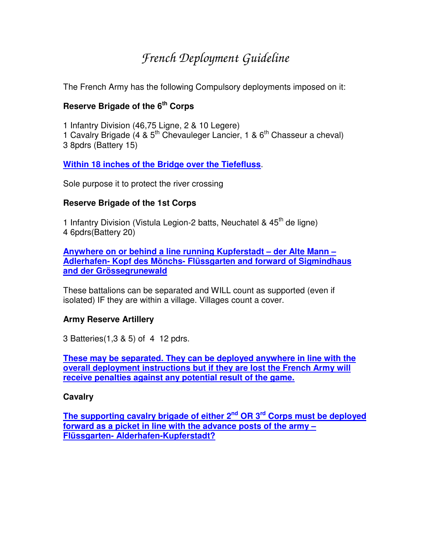# *French Deployment Guideline*

The French Army has the following Compulsory deployments imposed on it:

# **Reserve Brigade of the 6 th Corps**

1 Infantry Division (46,75 Ligne, 2 & 10 Legere) 1 Cavalry Brigade (4 & 5<sup>th</sup> Chevauleger Lancier, 1 & 6<sup>th</sup> Chasseur a cheval) 3 8pdrs (Battery 15)

**Within 18 inches of the Bridge over the Tiefefluss**.

Sole purpose it to protect the river crossing

# **Reserve Brigade of the 1st Corps**

1 Infantry Division (Vistula Legion-2 batts, Neuchatel & 45<sup>th</sup> de ligne) 4 6pdrs(Battery 20)

**Anywhere on or behind a line running Kupferstadt – der Alte Mann – Adlerhafen- Kopf des Mönchs- Flüssgarten and forward of Sigmindhaus and der Grössegrunewald**

These battalions can be separated and WILL count as supported (even if isolated) IF they are within a village. Villages count a cover.

#### **Army Reserve Artillery**

3 Batteries(1,3 & 5) of 4 12 pdrs.

**These may be separated. They can be deployed anywhere in line with the overall deployment instructions but if they are lost the French Army will receive penalties against any potential result of the game.**

#### **Cavalry**

**The supporting cavalry brigade of either 2 nd OR 3 rd Corps must be deployed forward as a picket in line with the advance posts of the army – Flüssgarten- Alderhafen-Kupferstadt?**